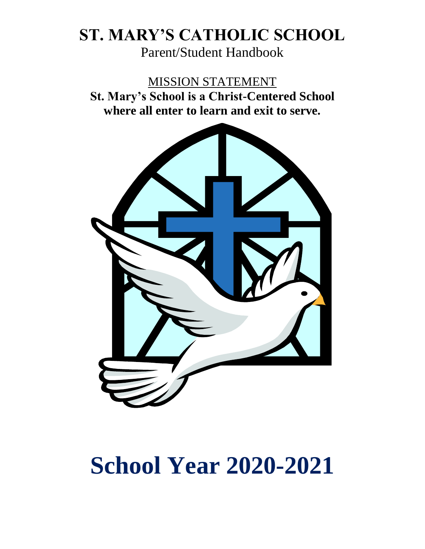## **ST. MARY'S CATHOLIC SCHOOL**

Parent/Student Handbook

MISSION STATEMENT **St. Mary's School is a Christ-Centered School where all enter to learn and exit to serve.**



# **School Year 2020-2021**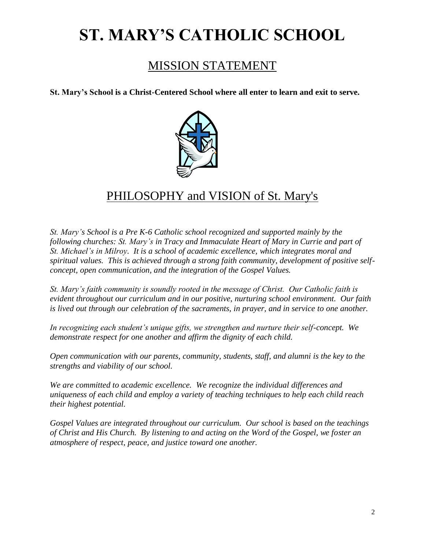## **ST. MARY'S CATHOLIC SCHOOL**

## MISSION STATEMENT

**St. Mary's School is a Christ-Centered School where all enter to learn and exit to serve.**



## PHILOSOPHY and VISION of St. Mary's

*St. Mary's School is a Pre K-6 Catholic school recognized and supported mainly by the following churches: St. Mary's in Tracy and Immaculate Heart of Mary in Currie and part of St. Michael's in Milroy. It is a school of academic excellence, which integrates moral and spiritual values. This is achieved through a strong faith community, development of positive selfconcept, open communication, and the integration of the Gospel Values.* 

*St. Mary's faith community is soundly rooted in the message of Christ. Our Catholic faith is evident throughout our curriculum and in our positive, nurturing school environment. Our faith is lived out through our celebration of the sacraments, in prayer, and in service to one another.*

*In recognizing each student's unique gifts, we strengthen and nurture their self-concept. We demonstrate respect for one another and affirm the dignity of each child.*

*Open communication with our parents, community, students, staff, and alumni is the key to the strengths and viability of our school.*

*We are committed to academic excellence. We recognize the individual differences and uniqueness of each child and employ a variety of teaching techniques to help each child reach their highest potential.*

*Gospel Values are integrated throughout our curriculum. Our school is based on the teachings of Christ and His Church. By listening to and acting on the Word of the Gospel, we foster an atmosphere of respect, peace, and justice toward one another.*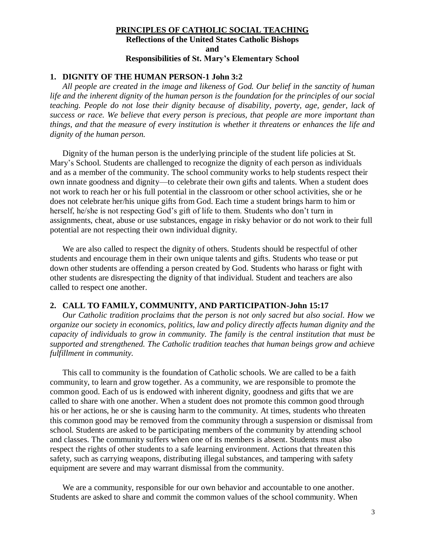#### **PRINCIPLES OF CATHOLIC SOCIAL TEACHING Reflections of the United States Catholic Bishops and Responsibilities of St. Mary's Elementary School**

#### **1. DIGNITY OF THE HUMAN PERSON-1 John 3:2**

*All people are created in the image and likeness of God. Our belief in the sanctity of human life and the inherent dignity of the human person is the foundation for the principles of our social teaching. People do not lose their dignity because of disability, poverty, age, gender, lack of success or race. We believe that every person is precious, that people are more important than things, and that the measure of every institution is whether it threatens or enhances the life and dignity of the human person.*

Dignity of the human person is the underlying principle of the student life policies at St. Mary's School. Students are challenged to recognize the dignity of each person as individuals and as a member of the community. The school community works to help students respect their own innate goodness and dignity—to celebrate their own gifts and talents. When a student does not work to reach her or his full potential in the classroom or other school activities, she or he does not celebrate her/his unique gifts from God. Each time a student brings harm to him or herself, he/she is not respecting God's gift of life to them. Students who don't turn in assignments, cheat, abuse or use substances, engage in risky behavior or do not work to their full potential are not respecting their own individual dignity.

We are also called to respect the dignity of others. Students should be respectful of other students and encourage them in their own unique talents and gifts. Students who tease or put down other students are offending a person created by God. Students who harass or fight with other students are disrespecting the dignity of that individual. Student and teachers are also called to respect one another.

#### **2. CALL TO FAMILY, COMMUNITY, AND PARTICIPATION-John 15:17**

*Our Catholic tradition proclaims that the person is not only sacred but also social. How we organize our society in economics, politics, law and policy directly affects human dignity and the capacity of individuals to grow in community. The family is the central institution that must be supported and strengthened. The Catholic tradition teaches that human beings grow and achieve fulfillment in community.*

This call to community is the foundation of Catholic schools. We are called to be a faith community, to learn and grow together. As a community, we are responsible to promote the common good. Each of us is endowed with inherent dignity, goodness and gifts that we are called to share with one another. When a student does not promote this common good through his or her actions, he or she is causing harm to the community. At times, students who threaten this common good may be removed from the community through a suspension or dismissal from school. Students are asked to be participating members of the community by attending school and classes. The community suffers when one of its members is absent. Students must also respect the rights of other students to a safe learning environment. Actions that threaten this safety, such as carrying weapons, distributing illegal substances, and tampering with safety equipment are severe and may warrant dismissal from the community.

We are a community, responsible for our own behavior and accountable to one another. Students are asked to share and commit the common values of the school community. When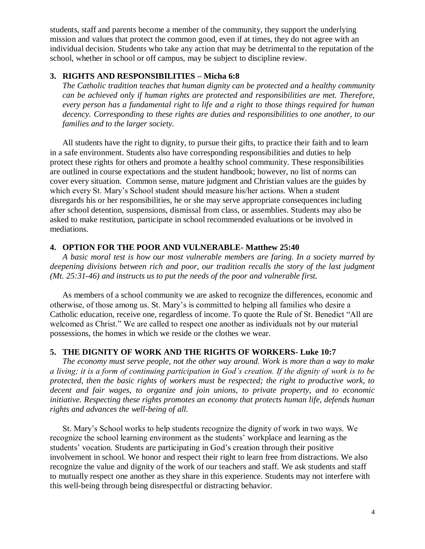students, staff and parents become a member of the community, they support the underlying mission and values that protect the common good, even if at times, they do not agree with an individual decision. Students who take any action that may be detrimental to the reputation of the school, whether in school or off campus, may be subject to discipline review.

#### **3. RIGHTS AND RESPONSIBILITIES – Micha 6:8**

*The Catholic tradition teaches that human dignity can be protected and a healthy community can be achieved only if human rights are protected and responsibilities are met. Therefore, every person has a fundamental right to life and a right to those things required for human decency. Corresponding to these rights are duties and responsibilities to one another, to our families and to the larger society.*

All students have the right to dignity, to pursue their gifts, to practice their faith and to learn in a safe environment. Students also have corresponding responsibilities and duties to help protect these rights for others and promote a healthy school community. These responsibilities are outlined in course expectations and the student handbook; however, no list of norms can cover every situation. Common sense, mature judgment and Christian values are the guides by which every St. Mary's School student should measure his/her actions. When a student disregards his or her responsibilities, he or she may serve appropriate consequences including after school detention, suspensions, dismissal from class, or assemblies. Students may also be asked to make restitution, participate in school recommended evaluations or be involved in mediations.

#### **4. OPTION FOR THE POOR AND VULNERABLE- Matthew 25:40**

*A basic moral test is how our most vulnerable members are faring. In a society marred by deepening divisions between rich and poor, our tradition recalls the story of the last judgment (Mt. 25:31-46) and instructs us to put the needs of the poor and vulnerable first.*

As members of a school community we are asked to recognize the differences, economic and otherwise, of those among us. St. Mary's is committed to helping all families who desire a Catholic education, receive one, regardless of income. To quote the Rule of St. Benedict "All are welcomed as Christ." We are called to respect one another as individuals not by our material possessions, the homes in which we reside or the clothes we wear.

#### **5. THE DIGNITY OF WORK AND THE RIGHTS OF WORKERS- Luke 10:7**

*The economy must serve people, not the other way around. Work is more than a way to make a living; it is a form of continuing participation in God's creation. If the dignity of work is to be protected, then the basic rights of workers must be respected; the right to productive work, to decent and fair wages, to organize and join unions, to private property, and to economic initiative. Respecting these rights promotes an economy that protects human life, defends human rights and advances the well-being of all.* 

St. Mary's School works to help students recognize the dignity of work in two ways. We recognize the school learning environment as the students' workplace and learning as the students' vocation. Students are participating in God's creation through their positive involvement in school. We honor and respect their right to learn free from distractions. We also recognize the value and dignity of the work of our teachers and staff. We ask students and staff to mutually respect one another as they share in this experience. Students may not interfere with this well-being through being disrespectful or distracting behavior.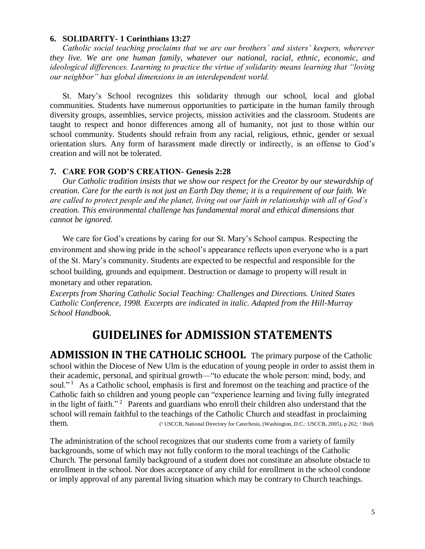#### **6. SOLIDARITY- 1 Corinthians 13:27**

*Catholic social teaching proclaims that we are our brothers' and sisters' keepers, wherever they live. We are one human family, whatever our national, racial, ethnic, economic, and ideological differences. Learning to practice the virtue of solidarity means learning that "loving our neighbor" has global dimensions in an interdependent world.*

St. Mary's School recognizes this solidarity through our school, local and global communities. Students have numerous opportunities to participate in the human family through diversity groups, assemblies, service projects, mission activities and the classroom. Students are taught to respect and honor differences among all of humanity, not just to those within our school community. Students should refrain from any racial, religious, ethnic, gender or sexual orientation slurs. Any form of harassment made directly or indirectly, is an offense to God's creation and will not be tolerated.

#### **7. CARE FOR GOD'S CREATION- Genesis 2:28**

*Our Catholic tradition insists that we show our respect for the Creator by our stewardship of creation. Care for the earth is not just an Earth Day theme; it is a requirement of our faith. We are called to protect people and the planet, living out our faith in relationship with all of God's creation. This environmental challenge has fundamental moral and ethical dimensions that cannot be ignored.*

We care for God's creations by caring for our St. Mary's School campus. Respecting the environment and showing pride in the school's appearance reflects upon everyone who is a part of the St. Mary's community. Students are expected to be respectful and responsible for the school building, grounds and equipment. Destruction or damage to property will result in monetary and other reparation.

*Excerpts from Sharing Catholic Social Teaching: Challenges and Directions. United States Catholic Conference, 1998. Excerpts are indicated in italic. Adapted from the Hill-Murray School Handbook.*

## **GUIDELINES for ADMISSION STATEMENTS**

**ADMISSION IN THE CATHOLIC SCHOOL** The primary purpose of the Catholic school within the Diocese of New Ulm is the education of young people in order to assist them in their academic, personal, and spiritual growth—"to educate the whole person: mind, body, and soul."<sup>1</sup> As a Catholic school, emphasis is first and foremost on the teaching and practice of the Catholic faith so children and young people can "experience learning and living fully integrated in the light of faith."<sup>2</sup> Parents and guardians who enroll their children also understand that the school will remain faithful to the teachings of the Catholic Church and steadfast in proclaiming them. <sup>1</sup> USCCB, National Directory for Catechesis, (Washington, D.C.: USCCB, 2005), p 262; <sup>2</sup> Ibid)

The administration of the school recognizes that our students come from a variety of family backgrounds, some of which may not fully conform to the moral teachings of the Catholic Church. The personal family background of a student does not constitute an absolute obstacle to enrollment in the school. Nor does acceptance of any child for enrollment in the school condone or imply approval of any parental living situation which may be contrary to Church teachings.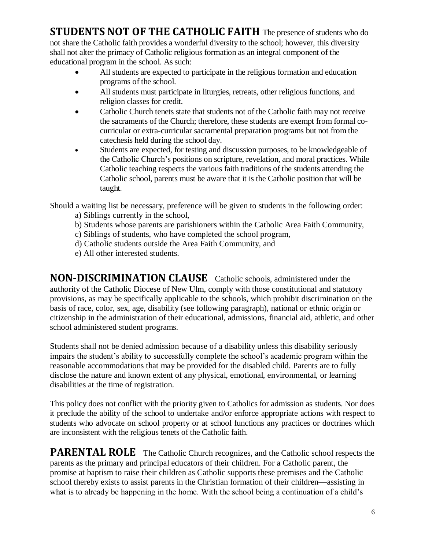**STUDENTS NOT OF THE CATHOLIC FAITH** The presence of students who do not share the Catholic faith provides a wonderful diversity to the school; however, this diversity shall not alter the primacy of Catholic religious formation as an integral component of the educational program in the school. As such:

- All students are expected to participate in the religious formation and education programs of the school.
- All students must participate in liturgies, retreats, other religious functions, and religion classes for credit.
- Catholic Church tenets state that students not of the Catholic faith may not receive the sacraments of the Church; therefore, these students are exempt from formal cocurricular or extra-curricular sacramental preparation programs but not from the catechesis held during the school day.
- Students are expected, for testing and discussion purposes, to be knowledgeable of the Catholic Church's positions on scripture, revelation, and moral practices. While Catholic teaching respects the various faith traditions of the students attending the Catholic school, parents must be aware that it is the Catholic position that will be taught.

Should a waiting list be necessary, preference will be given to students in the following order:

- a) Siblings currently in the school,
- b) Students whose parents are parishioners within the Catholic Area Faith Community,
- c) Siblings of students, who have completed the school program,
- d) Catholic students outside the Area Faith Community, and
- e) All other interested students.

**NON-DISCRIMINATION CLAUSE** Catholic schools, administered under the authority of the Catholic Diocese of New Ulm, comply with those constitutional and statutory provisions, as may be specifically applicable to the schools, which prohibit discrimination on the basis of race, color, sex, age, disability (see following paragraph), national or ethnic origin or citizenship in the administration of their educational, admissions, financial aid, athletic, and other school administered student programs.

Students shall not be denied admission because of a disability unless this disability seriously impairs the student's ability to successfully complete the school's academic program within the reasonable accommodations that may be provided for the disabled child. Parents are to fully disclose the nature and known extent of any physical, emotional, environmental, or learning disabilities at the time of registration.

This policy does not conflict with the priority given to Catholics for admission as students. Nor does it preclude the ability of the school to undertake and/or enforce appropriate actions with respect to students who advocate on school property or at school functions any practices or doctrines which are inconsistent with the religious tenets of the Catholic faith.

**PARENTAL ROLE** The Catholic Church recognizes, and the Catholic school respects the parents as the primary and principal educators of their children. For a Catholic parent, the promise at baptism to raise their children as Catholic supports these premises and the Catholic school thereby exists to assist parents in the Christian formation of their children—assisting in what is to already be happening in the home. With the school being a continuation of a child's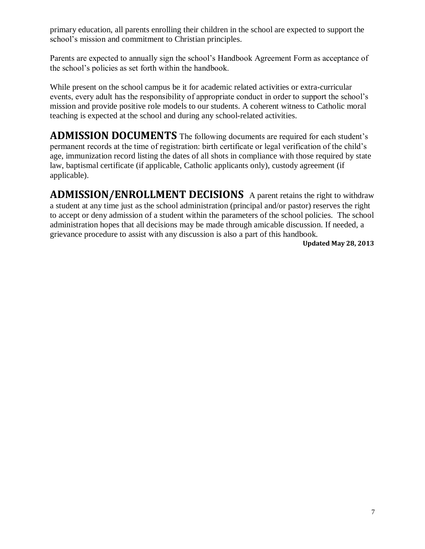primary education, all parents enrolling their children in the school are expected to support the school's mission and commitment to Christian principles.

Parents are expected to annually sign the school's Handbook Agreement Form as acceptance of the school's policies as set forth within the handbook.

While present on the school campus be it for academic related activities or extra-curricular events, every adult has the responsibility of appropriate conduct in order to support the school's mission and provide positive role models to our students. A coherent witness to Catholic moral teaching is expected at the school and during any school-related activities.

**ADMISSION DOCUMENTS** The following documents are required for each student's permanent records at the time of registration: birth certificate or legal verification of the child's age, immunization record listing the dates of all shots in compliance with those required by state law, baptismal certificate (if applicable, Catholic applicants only), custody agreement (if applicable).

**ADMISSION/ENROLLMENT DECISIONS** A parent retains the right to withdraw a student at any time just as the school administration (principal and/or pastor) reserves the right to accept or deny admission of a student within the parameters of the school policies. The school administration hopes that all decisions may be made through amicable discussion. If needed, a grievance procedure to assist with any discussion is also a part of this handbook.

 **Updated May 28, 2013**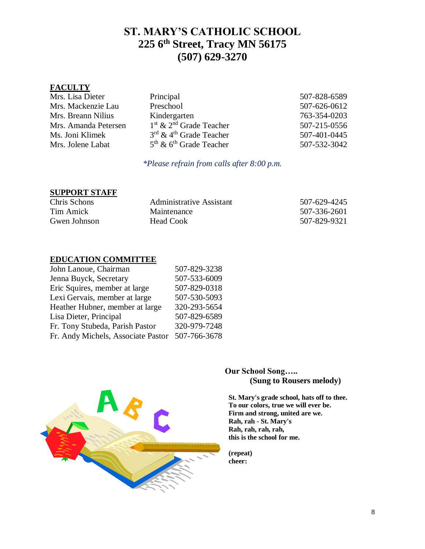### **ST. MARY'S CATHOLIC SCHOOL 225 6th Street, Tracy MN 56175 (507) 629-3270**

#### **FACULTY**

| Mrs. Lisa Dieter     | Principal                                       | 507-828-6589 |
|----------------------|-------------------------------------------------|--------------|
| Mrs. Mackenzie Lau   | Preschool                                       | 507-626-0612 |
| Mrs. Breann Nilius   | Kindergarten                                    | 763-354-0203 |
| Mrs. Amanda Petersen | $1st$ & $2nd$ Grade Teacher                     | 507-215-0556 |
| Ms. Joni Klimek      | $3^{\text{rd}}$ & 4 <sup>th</sup> Grade Teacher | 507-401-0445 |
| Mrs. Jolene Labat    | $5th$ & $6th$ Grade Teacher                     | 507-532-3042 |

#### *\*Please refrain from calls after 8:00 p.m.*

#### **SUPPORT STAFF**

| Chris Schons | Administrative Assistant | 507-629-4245 |
|--------------|--------------------------|--------------|
| Tim Amick    | Maintenance              | 507-336-2601 |
| Gwen Johnson | Head Cook                | 507-829-9321 |

#### **EDUCATION COMMITTEE**

| 507-829-3238 |
|--------------|
| 507-533-6009 |
| 507-829-0318 |
| 507-530-5093 |
| 320-293-5654 |
| 507-829-6589 |
| 320-979-7248 |
| 507-766-3678 |
|              |



#### **Our School Song….. (Sung to Rousers melody)**

**St. Mary's grade school, hats off to thee. To our colors, true we will ever be. Firm and strong, united are we. Rah, rah - St. Mary's Rah, rah, rah, rah, this is the school for me.**

**(repeat) cheer:**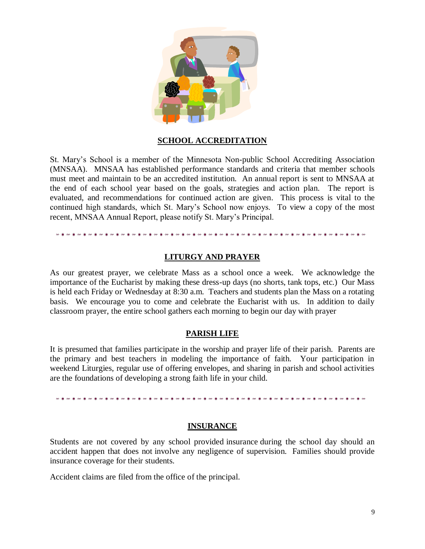

#### **SCHOOL ACCREDITATION**

St. Mary's School is a member of the Minnesota Non-public School Accrediting Association (MNSAA). MNSAA has established performance standards and criteria that member schools must meet and maintain to be an accredited institution. An annual report is sent to MNSAA at the end of each school year based on the goals, strategies and action plan. The report is evaluated, and recommendations for continued action are given. This process is vital to the continued high standards, which St. Mary's School now enjoys. To view a copy of the most recent, MNSAA Annual Report, please notify St. Mary's Principal.

#### **LITURGY AND PRAYER**

As our greatest prayer, we celebrate Mass as a school once a week. We acknowledge the importance of the Eucharist by making these dress-up days (no shorts, tank tops, etc.) Our Mass is held each Friday or Wednesday at 8:30 a.m. Teachers and students plan the Mass on a rotating basis. We encourage you to come and celebrate the Eucharist with us. In addition to daily classroom prayer, the entire school gathers each morning to begin our day with prayer

#### **PARISH LIFE**

It is presumed that families participate in the worship and prayer life of their parish. Parents are the primary and best teachers in modeling the importance of faith. Your participation in weekend Liturgies, regular use of offering envelopes, and sharing in parish and school activities are the foundations of developing a strong faith life in your child.

#### **INSURANCE**

Students are not covered by any school provided insurance during the school day should an accident happen that does not involve any negligence of supervision. Families should provide insurance coverage for their students.

Accident claims are filed from the office of the principal.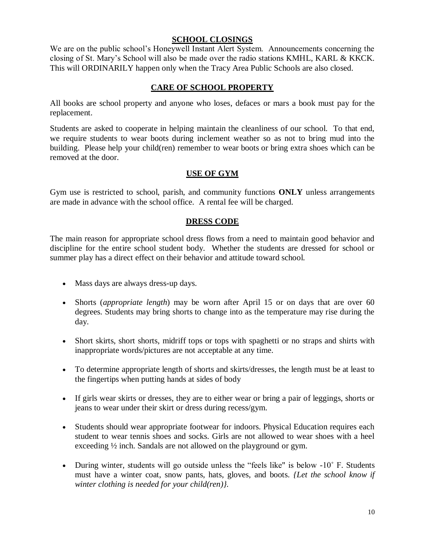#### **SCHOOL CLOSINGS**

We are on the public school's Honeywell Instant Alert System. Announcements concerning the closing of St. Mary's School will also be made over the radio stations KMHL, KARL & KKCK. This will ORDINARILY happen only when the Tracy Area Public Schools are also closed.

#### **CARE OF SCHOOL PROPERTY**

All books are school property and anyone who loses, defaces or mars a book must pay for the replacement.

Students are asked to cooperate in helping maintain the cleanliness of our school. To that end, we require students to wear boots during inclement weather so as not to bring mud into the building. Please help your child(ren) remember to wear boots or bring extra shoes which can be removed at the door.

#### **USE OF GYM**

Gym use is restricted to school, parish, and community functions **ONLY** unless arrangements are made in advance with the school office. A rental fee will be charged.

#### **DRESS CODE**

The main reason for appropriate school dress flows from a need to maintain good behavior and discipline for the entire school student body. Whether the students are dressed for school or summer play has a direct effect on their behavior and attitude toward school.

- Mass days are always dress-up days.
- Shorts (*appropriate length*) may be worn after April 15 or on days that are over 60 degrees. Students may bring shorts to change into as the temperature may rise during the day.
- Short skirts, short shorts, midriff tops or tops with spaghetti or no straps and shirts with inappropriate words/pictures are not acceptable at any time.
- To determine appropriate length of shorts and skirts/dresses, the length must be at least to the fingertips when putting hands at sides of body
- If girls wear skirts or dresses, they are to either wear or bring a pair of leggings, shorts or jeans to wear under their skirt or dress during recess/gym.
- Students should wear appropriate footwear for indoors. Physical Education requires each student to wear tennis shoes and socks. Girls are not allowed to wear shoes with a heel exceeding ½ inch. Sandals are not allowed on the playground or gym.
- During winter, students will go outside unless the "feels like" is below -10° F. Students must have a winter coat, snow pants, hats, gloves, and boots. *{Let the school know if winter clothing is needed for your child(ren)}.*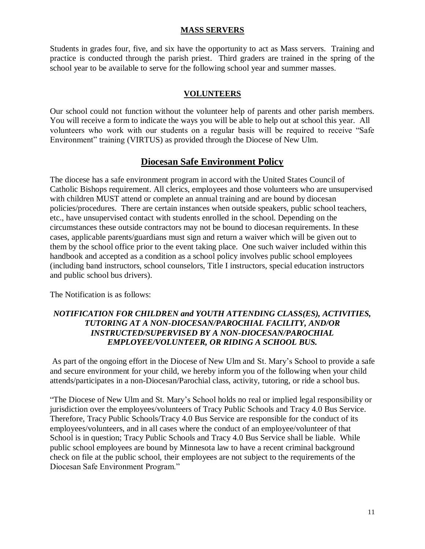#### **MASS SERVERS**

Students in grades four, five, and six have the opportunity to act as Mass servers. Training and practice is conducted through the parish priest. Third graders are trained in the spring of the school year to be available to serve for the following school year and summer masses.

#### **VOLUNTEERS**

Our school could not function without the volunteer help of parents and other parish members. You will receive a form to indicate the ways you will be able to help out at school this year. All volunteers who work with our students on a regular basis will be required to receive "Safe Environment" training (VIRTUS) as provided through the Diocese of New Ulm.

#### **Diocesan Safe Environment Policy**

The diocese has a safe environment program in accord with the United States Council of Catholic Bishops requirement. All clerics, employees and those volunteers who are unsupervised with children MUST attend or complete an annual training and are bound by diocesan policies/procedures. There are certain instances when outside speakers, public school teachers, etc., have unsupervised contact with students enrolled in the school. Depending on the circumstances these outside contractors may not be bound to diocesan requirements. In these cases, applicable parents/guardians must sign and return a waiver which will be given out to them by the school office prior to the event taking place. One such waiver included within this handbook and accepted as a condition as a school policy involves public school employees (including band instructors, school counselors, Title I instructors, special education instructors and public school bus drivers).

The Notification is as follows:

#### *NOTIFICATION FOR CHILDREN and YOUTH ATTENDING CLASS(ES), ACTIVITIES, TUTORING AT A NON-DIOCESAN/PAROCHIAL FACILITY, AND/OR INSTRUCTED/SUPERVISED BY A NON-DIOCESAN/PAROCHIAL EMPLOYEE/VOLUNTEER, OR RIDING A SCHOOL BUS.*

As part of the ongoing effort in the Diocese of New Ulm and St. Mary's School to provide a safe and secure environment for your child, we hereby inform you of the following when your child attends/participates in a non-Diocesan/Parochial class, activity, tutoring, or ride a school bus.

"The Diocese of New Ulm and St. Mary's School holds no real or implied legal responsibility or jurisdiction over the employees/volunteers of Tracy Public Schools and Tracy 4.0 Bus Service. Therefore, Tracy Public Schools/Tracy 4.0 Bus Service are responsible for the conduct of its employees/volunteers, and in all cases where the conduct of an employee/volunteer of that School is in question; Tracy Public Schools and Tracy 4.0 Bus Service shall be liable. While public school employees are bound by Minnesota law to have a recent criminal background check on file at the public school, their employees are not subject to the requirements of the Diocesan Safe Environment Program."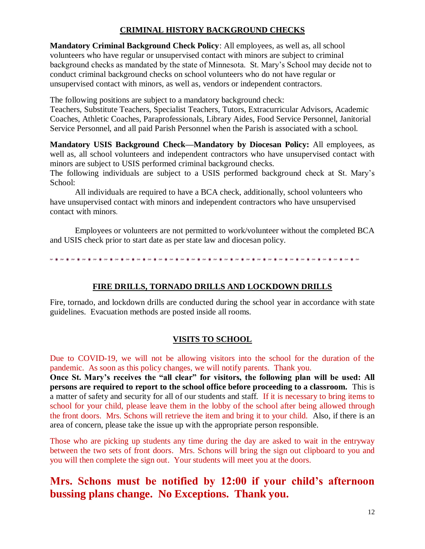#### **CRIMINAL HISTORY BACKGROUND CHECKS**

**Mandatory Criminal Background Check Policy**: All employees, as well as, all school volunteers who have regular or unsupervised contact with minors are subject to criminal background checks as mandated by the state of Minnesota. St. Mary's School may decide not to conduct criminal background checks on school volunteers who do not have regular or unsupervised contact with minors, as well as, vendors or independent contractors.

The following positions are subject to a mandatory background check:

Teachers, Substitute Teachers, Specialist Teachers, Tutors, Extracurricular Advisors, Academic Coaches, Athletic Coaches, Paraprofessionals, Library Aides, Food Service Personnel, Janitorial Service Personnel, and all paid Parish Personnel when the Parish is associated with a school.

**Mandatory USIS Background Check—Mandatory by Diocesan Policy:** All employees, as well as, all school volunteers and independent contractors who have unsupervised contact with minors are subject to USIS performed criminal background checks.

The following individuals are subject to a USIS performed background check at St. Mary's School:

All individuals are required to have a BCA check, additionally, school volunteers who have unsupervised contact with minors and independent contractors who have unsupervised contact with minors.

Employees or volunteers are not permitted to work/volunteer without the completed BCA and USIS check prior to start date as per state law and diocesan policy.

#### **FIRE DRILLS, TORNADO DRILLS AND LOCKDOWN DRILLS**

Fire, tornado, and lockdown drills are conducted during the school year in accordance with state guidelines. Evacuation methods are posted inside all rooms.

#### **VISITS TO SCHOOL**

Due to COVID-19, we will not be allowing visitors into the school for the duration of the pandemic. As soon as this policy changes, we will notify parents. Thank you.

**Once St. Mary's receives the "all clear" for visitors, the following plan will be used: All persons are required to report to the school office before proceeding to a classroom.** This is a matter of safety and security for all of our students and staff. If it is necessary to bring items to school for your child, please leave them in the lobby of the school after being allowed through the front doors. Mrs. Schons will retrieve the item and bring it to your child. Also, if there is an area of concern, please take the issue up with the appropriate person responsible.

Those who are picking up students any time during the day are asked to wait in the entryway between the two sets of front doors. Mrs. Schons will bring the sign out clipboard to you and you will then complete the sign out. Your students will meet you at the doors.

### **Mrs. Schons must be notified by 12:00 if your child's afternoon bussing plans change. No Exceptions. Thank you.**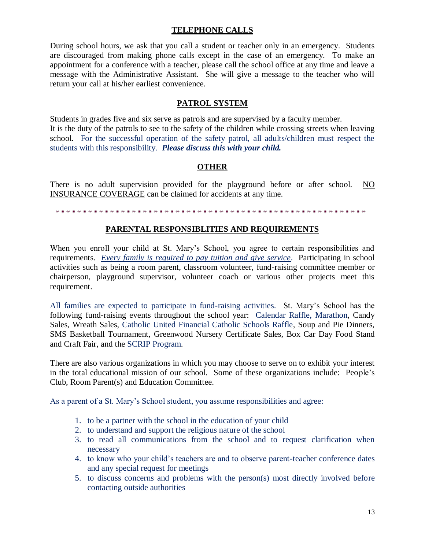#### **TELEPHONE CALLS**

During school hours, we ask that you call a student or teacher only in an emergency. Students are discouraged from making phone calls except in the case of an emergency. To make an appointment for a conference with a teacher, please call the school office at any time and leave a message with the Administrative Assistant. She will give a message to the teacher who will return your call at his/her earliest convenience.

#### **PATROL SYSTEM**

Students in grades five and six serve as patrols and are supervised by a faculty member. It is the duty of the patrols to see to the safety of the children while crossing streets when leaving school. For the successful operation of the safety patrol, all adults/children must respect the students with this responsibility. *Please discuss this with your child.*

#### **OTHER**

There is no adult supervision provided for the playground before or after school. NO INSURANCE COVERAGE can be claimed for accidents at any time.

#### 

#### **PARENTAL RESPONSIBLITIES AND REQUIREMENTS**

When you enroll your child at St. Mary's School, you agree to certain responsibilities and requirements. *Every family is required to pay tuition and give service*. Participating in school activities such as being a room parent, classroom volunteer, fund-raising committee member or chairperson, playground supervisor, volunteer coach or various other projects meet this requirement.

All families are expected to participate in fund-raising activities. St. Mary's School has the following fund-raising events throughout the school year: Calendar Raffle, Marathon, Candy Sales, Wreath Sales, Catholic United Financial Catholic Schools Raffle, Soup and Pie Dinners, SMS Basketball Tournament, Greenwood Nursery Certificate Sales, Box Car Day Food Stand and Craft Fair, and the SCRIP Program.

There are also various organizations in which you may choose to serve on to exhibit your interest in the total educational mission of our school. Some of these organizations include: People's Club, Room Parent(s) and Education Committee.

As a parent of a St. Mary's School student, you assume responsibilities and agree:

- 1. to be a partner with the school in the education of your child
- 2. to understand and support the religious nature of the school
- 3. to read all communications from the school and to request clarification when necessary
- 4. to know who your child's teachers are and to observe parent-teacher conference dates and any special request for meetings
- 5. to discuss concerns and problems with the person(s) most directly involved before contacting outside authorities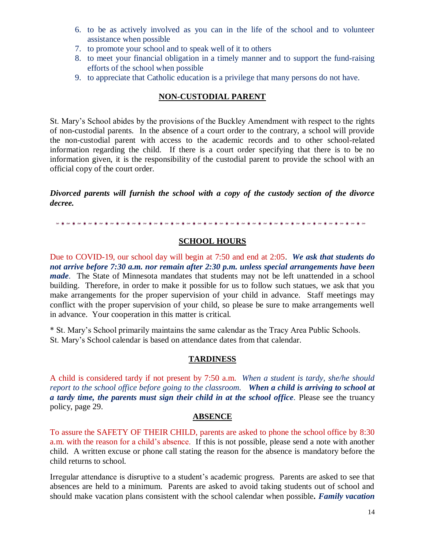- 6. to be as actively involved as you can in the life of the school and to volunteer assistance when possible
- 7. to promote your school and to speak well of it to others
- 8. to meet your financial obligation in a timely manner and to support the fund-raising efforts of the school when possible
- 9. to appreciate that Catholic education is a privilege that many persons do not have.

#### **NON-CUSTODIAL PARENT**

St. Mary's School abides by the provisions of the Buckley Amendment with respect to the rights of non-custodial parents. In the absence of a court order to the contrary, a school will provide the non-custodial parent with access to the academic records and to other school-related information regarding the child. If there is a court order specifying that there is to be no information given, it is the responsibility of the custodial parent to provide the school with an official copy of the court order.

*Divorced parents will furnish the school with a copy of the custody section of the divorce decree.*

#### **SCHOOL HOURS**

Due to COVID-19, our school day will begin at 7:50 and end at 2:05. *We ask that students do not arrive before 7:30 a.m. nor remain after 2:30 p.m. unless special arrangements have been made*. The State of Minnesota mandates that students may not be left unattended in a school building. Therefore, in order to make it possible for us to follow such statues, we ask that you make arrangements for the proper supervision of your child in advance. Staff meetings may conflict with the proper supervision of your child, so please be sure to make arrangements well in advance. Your cooperation in this matter is critical.

\* St. Mary's School primarily maintains the same calendar as the Tracy Area Public Schools. St. Mary's School calendar is based on attendance dates from that calendar.

#### **TARDINESS**

A child is considered tardy if not present by 7:50 a.m. *When a student is tardy, she/he should report to the school office before going to the classroom. When a child is arriving to school at a tardy time, the parents must sign their child in at the school office.* Please see the truancy policy, page 29.

#### **ABSENCE**

To assure the SAFETY OF THEIR CHILD, parents are asked to phone the school office by 8:30 a.m. with the reason for a child's absence. If this is not possible, please send a note with another child. A written excuse or phone call stating the reason for the absence is mandatory before the child returns to school.

Irregular attendance is disruptive to a student's academic progress. Parents are asked to see that absences are held to a minimum. Parents are asked to avoid taking students out of school and should make vacation plans consistent with the school calendar when possible*. Family vacation*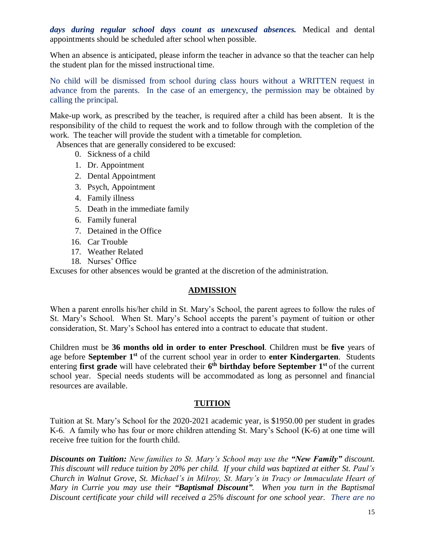*days during regular school days count as unexcused absences.* Medical and dental appointments should be scheduled after school when possible.

When an absence is anticipated, please inform the teacher in advance so that the teacher can help the student plan for the missed instructional time.

No child will be dismissed from school during class hours without a WRITTEN request in advance from the parents. In the case of an emergency, the permission may be obtained by calling the principal.

Make-up work, as prescribed by the teacher, is required after a child has been absent. It is the responsibility of the child to request the work and to follow through with the completion of the work. The teacher will provide the student with a timetable for completion.

Absences that are generally considered to be excused:

- 0. Sickness of a child
- 1. Dr. Appointment
- 2. Dental Appointment
- 3. Psych, Appointment
- 4. Family illness
- 5. Death in the immediate family
- 6. Family funeral
- 7. Detained in the Office
- 16. Car Trouble
- 17. Weather Related
- 18. Nurses' Office

Excuses for other absences would be granted at the discretion of the administration.

#### **ADMISSION**

When a parent enrolls his/her child in St. Mary's School, the parent agrees to follow the rules of St. Mary's School. When St. Mary's School accepts the parent's payment of tuition or other consideration, St. Mary's School has entered into a contract to educate that student.

Children must be **36 months old in order to enter Preschool**. Children must be **five** years of age before **September 1st** of the current school year in order to **enter Kindergarten**. Students entering **first grade** will have celebrated their **6 th birthday before September 1st** of the current school year. Special needs students will be accommodated as long as personnel and financial resources are available.

#### **TUITION**

Tuition at St. Mary's School for the 2020-2021 academic year, is \$1950.00 per student in grades K-6. A family who has four or more children attending St. Mary's School (K-6) at one time will receive free tuition for the fourth child.

*Discounts on Tuition: New families to St. Mary's School may use the "New Family" discount. This discount will reduce tuition by 20% per child. If your child was baptized at either St. Paul's Church in Walnut Grove, St. Michael's in Milroy, St. Mary's in Tracy or Immaculate Heart of Mary in Currie you may use their "Baptismal Discount". When you turn in the Baptismal Discount certificate your child will received a 25% discount for one school year. There are no*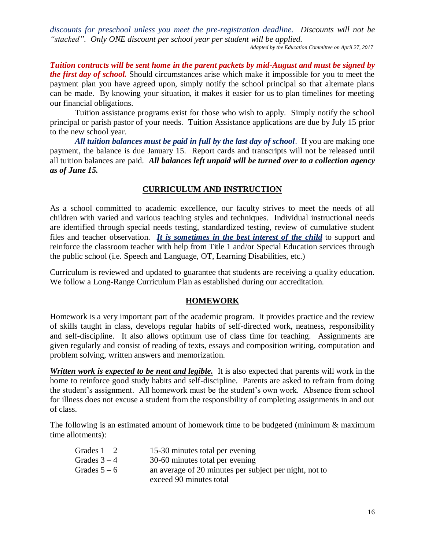*discounts for preschool unless you meet the pre-registration deadline. Discounts will not be "stacked". Only ONE discount per school year per student will be applied.* 

*Adapted by the Education Committee on April 27, 2017*

*Tuition contracts will be sent home in the parent packets by mid-August and must be signed by the first day of school.* Should circumstances arise which make it impossible for you to meet the payment plan you have agreed upon, simply notify the school principal so that alternate plans can be made. By knowing your situation, it makes it easier for us to plan timelines for meeting our financial obligations.

Tuition assistance programs exist for those who wish to apply. Simply notify the school principal or parish pastor of your needs. Tuition Assistance applications are due by July 15 prior to the new school year.

*All tuition balances must be paid in full by the last day of school*. If you are making one payment, the balance is due January 15. Report cards and transcripts will not be released until all tuition balances are paid. *All balances left unpaid will be turned over to a collection agency as of June 15.*

#### **CURRICULUM AND INSTRUCTION**

As a school committed to academic excellence, our faculty strives to meet the needs of all children with varied and various teaching styles and techniques. Individual instructional needs are identified through special needs testing, standardized testing, review of cumulative student files and teacher observation. *It is sometimes in the best interest of the child* to support and reinforce the classroom teacher with help from Title 1 and/or Special Education services through the public school (i.e. Speech and Language, OT, Learning Disabilities, etc.)

Curriculum is reviewed and updated to guarantee that students are receiving a quality education. We follow a Long-Range Curriculum Plan as established during our accreditation.

#### **HOMEWORK**

Homework is a very important part of the academic program. It provides practice and the review of skills taught in class, develops regular habits of self-directed work, neatness, responsibility and self-discipline. It also allows optimum use of class time for teaching. Assignments are given regularly and consist of reading of texts, essays and composition writing, computation and problem solving, written answers and memorization.

*Written work is expected to be neat and legible.* It is also expected that parents will work in the home to reinforce good study habits and self-discipline. Parents are asked to refrain from doing the student's assignment. All homework must be the student's own work. Absence from school for illness does not excuse a student from the responsibility of completing assignments in and out of class.

The following is an estimated amount of homework time to be budgeted (minimum & maximum time allotments):

| Grades $1 - 2$ | 15-30 minutes total per evening                        |
|----------------|--------------------------------------------------------|
| Grades $3 - 4$ | 30-60 minutes total per evening                        |
| Grades $5-6$   | an average of 20 minutes per subject per night, not to |
|                | exceed 90 minutes total                                |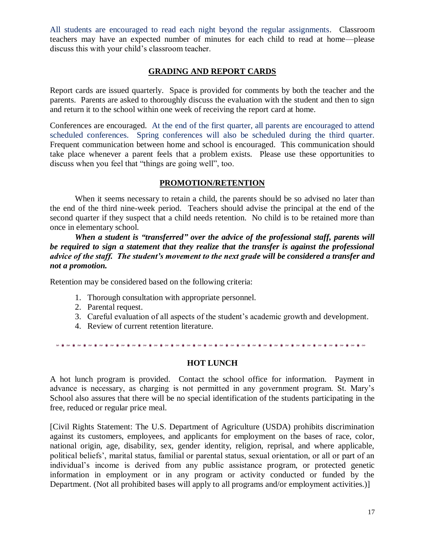All students are encouraged to read each night beyond the regular assignments. Classroom teachers may have an expected number of minutes for each child to read at home—please discuss this with your child's classroom teacher.

#### **GRADING AND REPORT CARDS**

Report cards are issued quarterly. Space is provided for comments by both the teacher and the parents. Parents are asked to thoroughly discuss the evaluation with the student and then to sign and return it to the school within one week of receiving the report card at home.

Conferences are encouraged. At the end of the first quarter, all parents are encouraged to attend scheduled conferences. Spring conferences will also be scheduled during the third quarter. Frequent communication between home and school is encouraged. This communication should take place whenever a parent feels that a problem exists. Please use these opportunities to discuss when you feel that "things are going well", too.

#### **PROMOTION/RETENTION**

When it seems necessary to retain a child, the parents should be so advised no later than the end of the third nine-week period. Teachers should advise the principal at the end of the second quarter if they suspect that a child needs retention. No child is to be retained more than once in elementary school.

*When a student is "transferred" over the advice of the professional staff, parents will be required to sign a statement that they realize that the transfer is against the professional advice of the staff. The student's movement to the next grade will be considered a transfer and not a promotion.* 

Retention may be considered based on the following criteria:

- 1. Thorough consultation with appropriate personnel.
- 2. Parental request.
- 3. Careful evaluation of all aspects of the student's academic growth and development.
- 4. Review of current retention literature.

#### **HOT LUNCH**

A hot lunch program is provided. Contact the school office for information. Payment in advance is necessary, as charging is not permitted in any government program. St. Mary's School also assures that there will be no special identification of the students participating in the free, reduced or regular price meal.

[Civil Rights Statement: The U.S. Department of Agriculture (USDA) prohibits discrimination against its customers, employees, and applicants for employment on the bases of race, color, national origin, age, disability, sex, gender identity, religion, reprisal, and where applicable, political beliefs', marital status, familial or parental status, sexual orientation, or all or part of an individual's income is derived from any public assistance program, or protected genetic information in employment or in any program or activity conducted or funded by the Department. (Not all prohibited bases will apply to all programs and/or employment activities.)]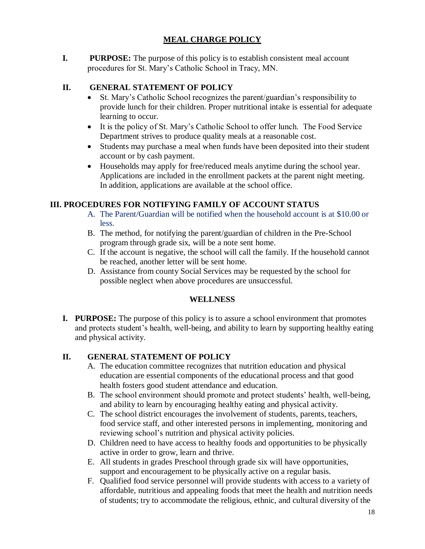#### **MEAL CHARGE POLICY**

**I. PURPOSE:** The purpose of this policy is to establish consistent meal account procedures for St. Mary's Catholic School in Tracy, MN.

#### **II. GENERAL STATEMENT OF POLICY**

- St. Mary's Catholic School recognizes the parent/guardian's responsibility to provide lunch for their children. Proper nutritional intake is essential for adequate learning to occur.
- It is the policy of St. Mary's Catholic School to offer lunch. The Food Service Department strives to produce quality meals at a reasonable cost.
- Students may purchase a meal when funds have been deposited into their student account or by cash payment.
- Households may apply for free/reduced meals anytime during the school year. Applications are included in the enrollment packets at the parent night meeting. In addition, applications are available at the school office.

#### **III. PROCEDURES FOR NOTIFYING FAMILY OF ACCOUNT STATUS**

- A. The Parent/Guardian will be notified when the household account is at \$10.00 or less.
- B. The method, for notifying the parent/guardian of children in the Pre-School program through grade six, will be a note sent home.
- C. If the account is negative, the school will call the family. If the household cannot be reached, another letter will be sent home.
- D. Assistance from county Social Services may be requested by the school for possible neglect when above procedures are unsuccessful.

#### **WELLNESS**

**I. PURPOSE:** The purpose of this policy is to assure a school environment that promotes and protects student's health, well-being, and ability to learn by supporting healthy eating and physical activity.

#### **II. GENERAL STATEMENT OF POLICY**

- A. The education committee recognizes that nutrition education and physical education are essential components of the educational process and that good health fosters good student attendance and education.
- B. The school environment should promote and protect students' health, well-being, and ability to learn by encouraging healthy eating and physical activity.
- C. The school district encourages the involvement of students, parents, teachers, food service staff, and other interested persons in implementing, monitoring and reviewing school's nutrition and physical activity policies.
- D. Children need to have access to healthy foods and opportunities to be physically active in order to grow, learn and thrive.
- E. All students in grades Preschool through grade six will have opportunities, support and encouragement to be physically active on a regular basis.
- F. Qualified food service personnel will provide students with access to a variety of affordable, nutritious and appealing foods that meet the health and nutrition needs of students; try to accommodate the religious, ethnic, and cultural diversity of the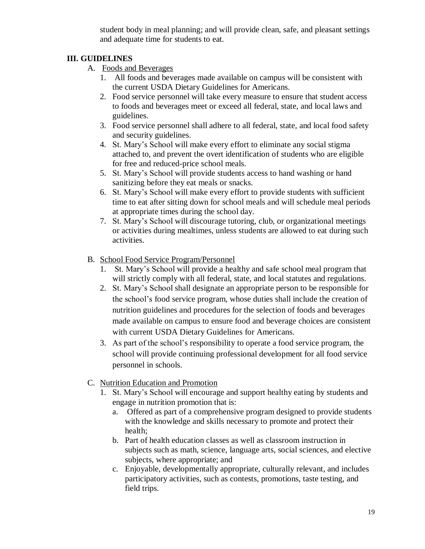student body in meal planning; and will provide clean, safe, and pleasant settings and adequate time for students to eat.

#### **III. GUIDELINES**

- A. Foods and Beverages
	- 1. All foods and beverages made available on campus will be consistent with the current USDA Dietary Guidelines for Americans.
	- 2. Food service personnel will take every measure to ensure that student access to foods and beverages meet or exceed all federal, state, and local laws and guidelines.
	- 3. Food service personnel shall adhere to all federal, state, and local food safety and security guidelines.
	- 4. St. Mary's School will make every effort to eliminate any social stigma attached to, and prevent the overt identification of students who are eligible for free and reduced-price school meals.
	- 5. St. Mary's School will provide students access to hand washing or hand sanitizing before they eat meals or snacks.
	- 6. St. Mary's School will make every effort to provide students with sufficient time to eat after sitting down for school meals and will schedule meal periods at appropriate times during the school day.
	- 7. St. Mary's School will discourage tutoring, club, or organizational meetings or activities during mealtimes, unless students are allowed to eat during such activities.
- B. School Food Service Program/Personnel
	- 1. St. Mary's School will provide a healthy and safe school meal program that will strictly comply with all federal, state, and local statutes and regulations.
	- 2. St. Mary's School shall designate an appropriate person to be responsible for the school's food service program, whose duties shall include the creation of nutrition guidelines and procedures for the selection of foods and beverages made available on campus to ensure food and beverage choices are consistent with current USDA Dietary Guidelines for Americans.
	- 3. As part of the school's responsibility to operate a food service program, the school will provide continuing professional development for all food service personnel in schools.
- C. Nutrition Education and Promotion
	- 1. St. Mary's School will encourage and support healthy eating by students and engage in nutrition promotion that is:
		- a. Offered as part of a comprehensive program designed to provide students with the knowledge and skills necessary to promote and protect their health;
		- b. Part of health education classes as well as classroom instruction in subjects such as math, science, language arts, social sciences, and elective subjects, where appropriate; and
		- c. Enjoyable, developmentally appropriate, culturally relevant, and includes participatory activities, such as contests, promotions, taste testing, and field trips.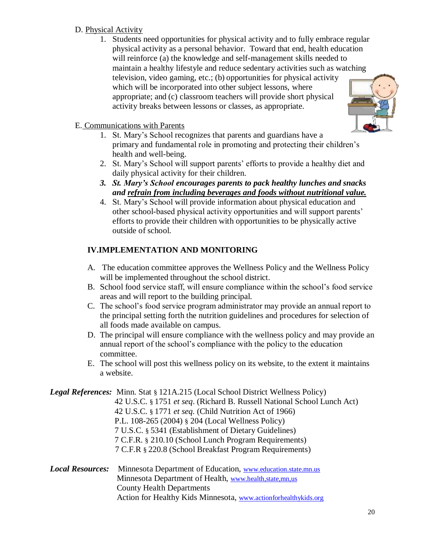#### D. Physical Activity

1. Students need opportunities for physical activity and to fully embrace regular physical activity as a personal behavior. Toward that end, health education will reinforce (a) the knowledge and self-management skills needed to maintain a healthy lifestyle and reduce sedentary activities such as watching television, video gaming, etc.; (b) opportunities for physical activity which will be incorporated into other subject lessons, where appropriate; and (c) classroom teachers will provide short physical activity breaks between lessons or classes, as appropriate.



- E. Communications with Parents
	- 1. St. Mary's School recognizes that parents and guardians have a primary and fundamental role in promoting and protecting their children's health and well-being.
	- 2. St. Mary's School will support parents' efforts to provide a healthy diet and daily physical activity for their children.
	- *3. St. Mary's School encourages parents to pack healthy lunches and snacks and refrain from including beverages and foods without nutritional value.*
	- 4. St. Mary's School will provide information about physical education and other school-based physical activity opportunities and will support parents' efforts to provide their children with opportunities to be physically active outside of school.

#### **IV.IMPLEMENTATION AND MONITORING**

- A. The education committee approves the Wellness Policy and the Wellness Policy will be implemented throughout the school district.
- B. School food service staff, will ensure compliance within the school's food service areas and will report to the building principal.
- C. The school's food service program administrator may provide an annual report to the principal setting forth the nutrition guidelines and procedures for selection of all foods made available on campus.
- D. The principal will ensure compliance with the wellness policy and may provide an annual report of the school's compliance with the policy to the education committee.
- E. The school will post this wellness policy on its website, to the extent it maintains a website.

|                         | <b>Legal References:</b> Minn. Stat § 121A.215 (Local School District Wellness Policy) |
|-------------------------|----------------------------------------------------------------------------------------|
|                         | 42 U.S.C. § 1751 et seq. (Richard B. Russell National School Lunch Act)                |
|                         | 42 U.S.C. § 1771 et seq. (Child Nutrition Act of 1966)                                 |
|                         | P.L. 108-265 (2004) § 204 (Local Wellness Policy)                                      |
|                         | 7 U.S.C. § 5341 (Establishment of Dietary Guidelines)                                  |
|                         | 7 C.F.R. § 210.10 (School Lunch Program Requirements)                                  |
|                         | 7 C.F.R § 220.8 (School Breakfast Program Requirements)                                |
| <b>Local Resources:</b> | Minnesota Department of Education, www.education.state.mn.us                           |
|                         | Minnesota Department of Health, www.health, state, mn, us                              |
|                         | <b>County Health Departments</b>                                                       |

Action for Healthy Kids Minnesota, [www.actionforhealthykids.org](http://www.actionforhealthykids.org/)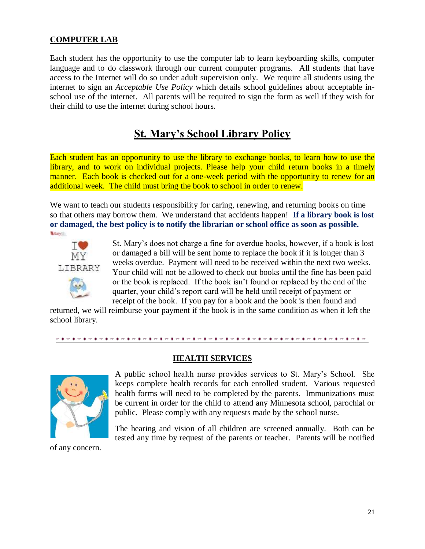#### **COMPUTER LAB**

Each student has the opportunity to use the computer lab to learn keyboarding skills, computer language and to do classwork through our current computer programs. All students that have access to the Internet will do so under adult supervision only. We require all students using the internet to sign an *Acceptable Use Policy* which details school guidelines about acceptable inschool use of the internet. All parents will be required to sign the form as well if they wish for their child to use the internet during school hours.

### **St. Mary's School Library Policy**

Each student has an opportunity to use the library to exchange books, to learn how to use the library, and to work on individual projects. Please help your child return books in a timely manner. Each book is checked out for a one-week period with the opportunity to renew for an additional week. The child must bring the book to school in order to renew.

We want to teach our students responsibility for caring, renewing, and returning books on time so that others may borrow them. We understand that accidents happen! **If a library book is lost or damaged, the best policy is to notify the librarian or school office as soon as possible.** Easy



St. Mary's does not charge a fine for overdue books, however, if a book is lost or damaged a bill will be sent home to replace the book if it is longer than 3 weeks overdue. Payment will need to be received within the next two weeks. Your child will not be allowed to check out books until the fine has been paid or the book is replaced. If the book isn't found or replaced by the end of the quarter, your child's report card will be held until receipt of payment or receipt of the book. If you pay for a book and the book is then found and

returned, we will reimburse your payment if the book is in the same condition as when it left the school library.

## **HEALTH SERVICES**



A public school health nurse provides services to St. Mary's School. She keeps complete health records for each enrolled student. Various requested health forms will need to be completed by the parents. Immunizations must be current in order for the child to attend any Minnesota school, parochial or public. Please comply with any requests made by the school nurse.

The hearing and vision of all children are screened annually. Both can be tested any time by request of the parents or teacher. Parents will be notified

of any concern.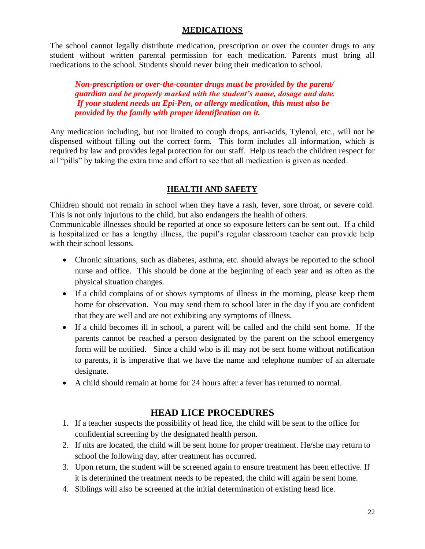#### **MEDICATIONS**

The school cannot legally distribute medication, prescription or over the counter drugs to any student without written parental permission for each medication. Parents must bring all medications to the school. Students should never bring their medication to school.

*Non-prescription or over-the-counter drugs must be provided by the parent/ guardian and be properly marked with the student's name, dosage and date. If your student needs an Epi-Pen, or allergy medication, this must also be provided by the family with proper identification on it.* 

Any medication including, but not limited to cough drops, anti-acids, Tylenol, etc., will not be dispensed without filling out the correct form. This form includes all information, which is required by law and provides legal protection for our staff. Help us teach the children respect for all "pills" by taking the extra time and effort to see that all medication is given as needed.

#### **HEALTH AND SAFETY**

Children should not remain in school when they have a rash, fever, sore throat, or severe cold. This is not only injurious to the child, but also endangers the health of others.

Communicable illnesses should be reported at once so exposure letters can be sent out. If a child is hospitalized or has a lengthy illness, the pupil's regular classroom teacher can provide help with their school lessons.

- Chronic situations, such as diabetes, asthma, etc. should always be reported to the school nurse and office. This should be done at the beginning of each year and as often as the physical situation changes.
- If a child complains of or shows symptoms of illness in the morning, please keep them home for observation. You may send them to school later in the day if you are confident that they are well and are not exhibiting any symptoms of illness.
- If a child becomes ill in school, a parent will be called and the child sent home. If the parents cannot be reached a person designated by the parent on the school emergency form will be notified. Since a child who is ill may not be sent home without notification to parents, it is imperative that we have the name and telephone number of an alternate designate.
- A child should remain at home for 24 hours after a fever has returned to normal.

#### **HEAD LICE PROCEDURES**

- 1. If a teacher suspects the possibility of head lice, the child will be sent to the office for confidential screening by the designated health person.
- 2. If nits are located, the child will be sent home for proper treatment. He/she may return to school the following day, after treatment has occurred.
- 3. Upon return, the student will be screened again to ensure treatment has been effective. If it is determined the treatment needs to be repeated, the child will again be sent home.
- 4. Siblings will also be screened at the initial determination of existing head lice.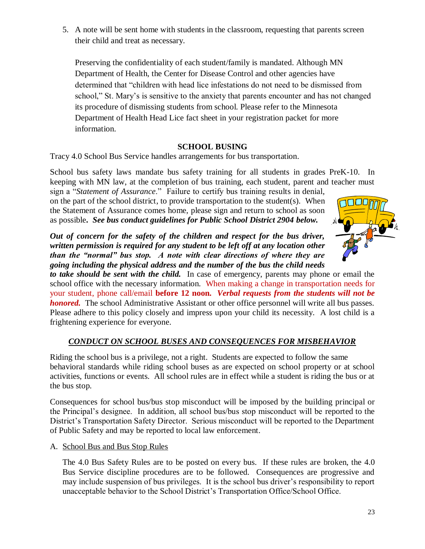5. A note will be sent home with students in the classroom, requesting that parents screen their child and treat as necessary.

Preserving the confidentiality of each student/family is mandated. Although MN Department of Health, the Center for Disease Control and other agencies have determined that "children with head lice infestations do not need to be dismissed from school," St. Mary's is sensitive to the anxiety that parents encounter and has not changed its procedure of dismissing students from school. Please refer to the Minnesota Department of Health Head Lice fact sheet in your registration packet for more information.

#### **SCHOOL BUSING**

Tracy 4.0 School Bus Service handles arrangements for bus transportation.

School bus safety laws mandate bus safety training for all students in grades PreK-10. In keeping with MN law, at the completion of bus training, each student, parent and teacher must sign a "*Statement of Assurance*." Failure to certify bus training results in denial,

on the part of the school district, to provide transportation to the student(s). When the Statement of Assurance comes home, please sign and return to school as soon as possible**.** *See bus conduct guidelines for Public School District 2904 below.*

*Out of concern for the safety of the children and respect for the bus driver, written permission is required for any student to be left off at any location other than the "normal" bus stop. A note with clear directions of where they are going including the physical address and the number of the bus the child needs* 

*to take should be sent with the child.* In case of emergency, parents may phone or email the school office with the necessary information. When making a change in transportation needs for your student, phone call/email **before 12 noon***. Verbal requests from the students will not be honored.* The school Administrative Assistant or other office personnel will write all bus passes. Please adhere to this policy closely and impress upon your child its necessity. A lost child is a frightening experience for everyone.

#### *CONDUCT ON SCHOOL BUSES AND CONSEQUENCES FOR MISBEHAVIOR*

Riding the school bus is a privilege, not a right. Students are expected to follow the same behavioral standards while riding school buses as are expected on school property or at school activities, functions or events. All school rules are in effect while a student is riding the bus or at the bus stop.

Consequences for school bus/bus stop misconduct will be imposed by the building principal or the Principal's designee. In addition, all school bus/bus stop misconduct will be reported to the District's Transportation Safety Director. Serious misconduct will be reported to the Department of Public Safety and may be reported to local law enforcement.

A. School Bus and Bus Stop Rules

The 4.0 Bus Safety Rules are to be posted on every bus. If these rules are broken, the 4.0 Bus Service discipline procedures are to be followed. Consequences are progressive and may include suspension of bus privileges. It is the school bus driver's responsibility to report unacceptable behavior to the School District's Transportation Office/School Office.

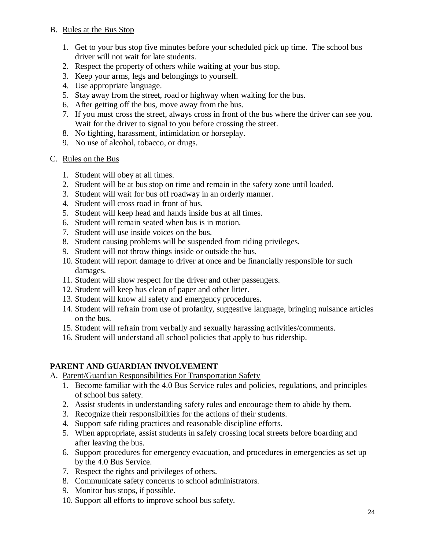#### B. Rules at the Bus Stop

- 1. Get to your bus stop five minutes before your scheduled pick up time. The school bus driver will not wait for late students.
- 2. Respect the property of others while waiting at your bus stop.
- 3. Keep your arms, legs and belongings to yourself.
- 4. Use appropriate language.
- 5. Stay away from the street, road or highway when waiting for the bus.
- 6. After getting off the bus, move away from the bus.
- 7. If you must cross the street, always cross in front of the bus where the driver can see you. Wait for the driver to signal to you before crossing the street.
- 8. No fighting, harassment, intimidation or horseplay.
- 9. No use of alcohol, tobacco, or drugs.

#### C. Rules on the Bus

- 1. Student will obey at all times.
- 2. Student will be at bus stop on time and remain in the safety zone until loaded.
- 3. Student will wait for bus off roadway in an orderly manner.
- 4. Student will cross road in front of bus.
- 5. Student will keep head and hands inside bus at all times.
- 6. Student will remain seated when bus is in motion.
- 7. Student will use inside voices on the bus.
- 8. Student causing problems will be suspended from riding privileges.
- 9. Student will not throw things inside or outside the bus.
- 10. Student will report damage to driver at once and be financially responsible for such damages.
- 11. Student will show respect for the driver and other passengers.
- 12. Student will keep bus clean of paper and other litter.
- 13. Student will know all safety and emergency procedures.
- 14. Student will refrain from use of profanity, suggestive language, bringing nuisance articles on the bus.
- 15. Student will refrain from verbally and sexually harassing activities/comments.
- 16. Student will understand all school policies that apply to bus ridership.

#### **PARENT AND GUARDIAN INVOLVEMENT**

- A. Parent/Guardian Responsibilities For Transportation Safety
	- 1. Become familiar with the 4.0 Bus Service rules and policies, regulations, and principles of school bus safety.
	- 2. Assist students in understanding safety rules and encourage them to abide by them.
	- 3. Recognize their responsibilities for the actions of their students.
	- 4. Support safe riding practices and reasonable discipline efforts.
	- 5. When appropriate, assist students in safely crossing local streets before boarding and after leaving the bus.
	- 6. Support procedures for emergency evacuation, and procedures in emergencies as set up by the 4.0 Bus Service.
	- 7. Respect the rights and privileges of others.
	- 8. Communicate safety concerns to school administrators.
	- 9. Monitor bus stops, if possible.
	- 10. Support all efforts to improve school bus safety.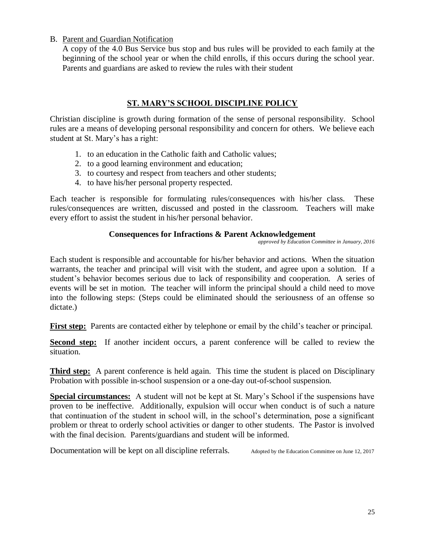#### B. Parent and Guardian Notification

A copy of the 4.0 Bus Service bus stop and bus rules will be provided to each family at the beginning of the school year or when the child enrolls, if this occurs during the school year. Parents and guardians are asked to review the rules with their student

#### **ST. MARY'S SCHOOL DISCIPLINE POLICY**

Christian discipline is growth during formation of the sense of personal responsibility. School rules are a means of developing personal responsibility and concern for others. We believe each student at St. Mary's has a right:

- 1. to an education in the Catholic faith and Catholic values;
- 2. to a good learning environment and education;
- 3. to courtesy and respect from teachers and other students;
- 4. to have his/her personal property respected.

Each teacher is responsible for formulating rules/consequences with his/her class. These rules/consequences are written, discussed and posted in the classroom. Teachers will make every effort to assist the student in his/her personal behavior.

#### **Consequences for Infractions & Parent Acknowledgement**

 *approved by Education Committee in January, 2016*

Each student is responsible and accountable for his/her behavior and actions. When the situation warrants, the teacher and principal will visit with the student, and agree upon a solution. If a student's behavior becomes serious due to lack of responsibility and cooperation. A series of events will be set in motion. The teacher will inform the principal should a child need to move into the following steps: (Steps could be eliminated should the seriousness of an offense so dictate.)

**First step:** Parents are contacted either by telephone or email by the child's teacher or principal.

**Second step:** If another incident occurs, a parent conference will be called to review the situation.

**Third step:** A parent conference is held again. This time the student is placed on Disciplinary Probation with possible in-school suspension or a one-day out-of-school suspension.

**Special circumstances:** A student will not be kept at St. Mary's School if the suspensions have proven to be ineffective. Additionally, expulsion will occur when conduct is of such a nature that continuation of the student in school will, in the school's determination, pose a significant problem or threat to orderly school activities or danger to other students. The Pastor is involved with the final decision. Parents/guardians and student will be informed.

Documentation will be kept on all discipline referrals. Adopted by the Education Committee on June 12, 2017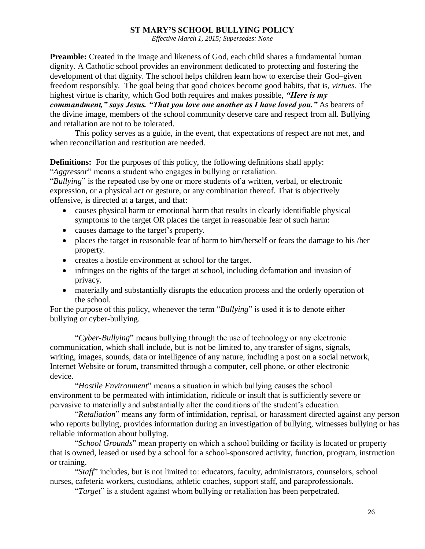#### **ST MARY'S SCHOOL BULLYING POLICY**

*Effective March 1, 2015; Supersedes: None*

**Preamble:** Created in the image and likeness of God, each child shares a fundamental human dignity. A Catholic school provides an environment dedicated to protecting and fostering the development of that dignity. The school helps children learn how to exercise their God–given freedom responsibly. The goal being that good choices become good habits, that is, *virtues.* The highest virtue is charity, which God both requires and makes possible, *"Here is my commandment," says Jesus. "That you love one another as I have loved you."* As bearers of the divine image, members of the school community deserve care and respect from all. Bullying and retaliation are not to be tolerated.

This policy serves as a guide, in the event, that expectations of respect are not met, and when reconciliation and restitution are needed.

**Definitions:** For the purposes of this policy, the following definitions shall apply: "*Aggressor*" means a student who engages in bullying or retaliation.

"*Bullying*" is the repeated use by one or more students of a written, verbal, or electronic expression, or a physical act or gesture, or any combination thereof. That is objectively offensive, is directed at a target, and that:

- causes physical harm or emotional harm that results in clearly identifiable physical symptoms to the target OR places the target in reasonable fear of such harm:
- causes damage to the target's property.
- places the target in reasonable fear of harm to him/herself or fears the damage to his /her property.
- creates a hostile environment at school for the target.
- infringes on the rights of the target at school, including defamation and invasion of privacy.
- materially and substantially disrupts the education process and the orderly operation of the school.

For the purpose of this policy, whenever the term "*Bullying*" is used it is to denote either bullying or cyber-bullying.

"*Cyber-Bullying*" means bullying through the use of technology or any electronic communication, which shall include, but is not be limited to, any transfer of signs, signals, writing, images, sounds, data or intelligence of any nature, including a post on a social network, Internet Website or forum, transmitted through a computer, cell phone, or other electronic device.

"*Hostile Environment*" means a situation in which bullying causes the school environment to be permeated with intimidation, ridicule or insult that is sufficiently severe or pervasive to materially and substantially alter the conditions of the student's education.

"*Retaliation*" means any form of intimidation, reprisal, or harassment directed against any person who reports bullying, provides information during an investigation of bullying, witnesses bullying or has reliable information about bullying.

"*School Grounds*" mean property on which a school building or facility is located or property that is owned, leased or used by a school for a school-sponsored activity, function, program, instruction or training.

"*Staff*" includes, but is not limited to: educators, faculty, administrators, counselors, school nurses, cafeteria workers, custodians, athletic coaches, support staff, and paraprofessionals.

"*Target*" is a student against whom bullying or retaliation has been perpetrated.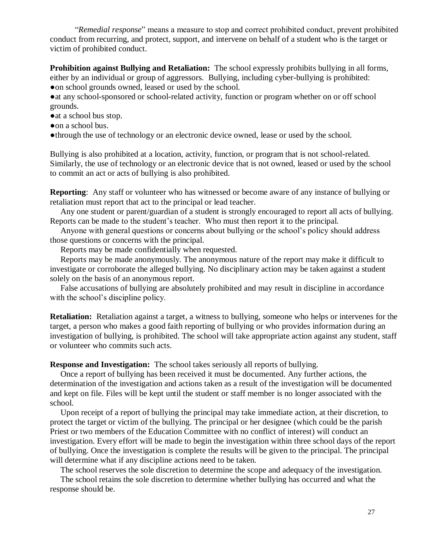"*Remedial response*" means a measure to stop and correct prohibited conduct, prevent prohibited conduct from recurring, and protect, support, and intervene on behalf of a student who is the target or victim of prohibited conduct.

**Prohibition against Bullying and Retaliation:** The school expressly prohibits bullying in all forms, either by an individual or group of aggressors. Bullying, including cyber-bullying is prohibited: • on school grounds owned, leased or used by the school.

• at any school-sponsored or school-related activity, function or program whether on or off school grounds.

●at a school bus stop.

●on a school bus.

●through the use of technology or an electronic device owned, lease or used by the school.

Bullying is also prohibited at a location, activity, function, or program that is not school-related. Similarly, the use of technology or an electronic device that is not owned, leased or used by the school to commit an act or acts of bullying is also prohibited.

**Reporting**: Any staff or volunteer who has witnessed or become aware of any instance of bullying or retaliation must report that act to the principal or lead teacher.

 Any one student or parent/guardian of a student is strongly encouraged to report all acts of bullying. Reports can be made to the student's teacher. Who must then report it to the principal.

 Anyone with general questions or concerns about bullying or the school's policy should address those questions or concerns with the principal.

Reports may be made confidentially when requested.

 Reports may be made anonymously. The anonymous nature of the report may make it difficult to investigate or corroborate the alleged bullying. No disciplinary action may be taken against a student solely on the basis of an anonymous report.

 False accusations of bullying are absolutely prohibited and may result in discipline in accordance with the school's discipline policy.

**Retaliation:** Retaliation against a target, a witness to bullying, someone who helps or intervenes for the target, a person who makes a good faith reporting of bullying or who provides information during an investigation of bullying, is prohibited. The school will take appropriate action against any student, staff or volunteer who commits such acts.

**Response and Investigation:** The school takes seriously all reports of bullying.

 Once a report of bullying has been received it must be documented. Any further actions, the determination of the investigation and actions taken as a result of the investigation will be documented and kept on file. Files will be kept until the student or staff member is no longer associated with the school.

 Upon receipt of a report of bullying the principal may take immediate action, at their discretion, to protect the target or victim of the bullying. The principal or her designee (which could be the parish Priest or two members of the Education Committee with no conflict of interest) will conduct an investigation. Every effort will be made to begin the investigation within three school days of the report of bullying. Once the investigation is complete the results will be given to the principal. The principal will determine what if any discipline actions need to be taken.

The school reserves the sole discretion to determine the scope and adequacy of the investigation.

The school retains the sole discretion to determine whether bullying has occurred and what the response should be.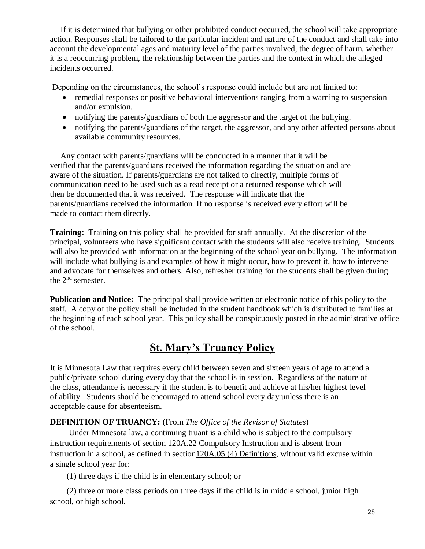If it is determined that bullying or other prohibited conduct occurred, the school will take appropriate action. Responses shall be tailored to the particular incident and nature of the conduct and shall take into account the developmental ages and maturity level of the parties involved, the degree of harm, whether it is a reoccurring problem, the relationship between the parties and the context in which the alleged incidents occurred.

Depending on the circumstances, the school's response could include but are not limited to:

- remedial responses or positive behavioral interventions ranging from a warning to suspension and/or expulsion.
- notifying the parents/guardians of both the aggressor and the target of the bullying.
- notifying the parents/guardians of the target, the aggressor, and any other affected persons about available community resources.

 Any contact with parents/guardians will be conducted in a manner that it will be verified that the parents/guardians received the information regarding the situation and are aware of the situation. If parents/guardians are not talked to directly, multiple forms of communication need to be used such as a read receipt or a returned response which will then be documented that it was received. The response will indicate that the parents/guardians received the information. If no response is received every effort will be made to contact them directly.

**Training:** Training on this policy shall be provided for staff annually. At the discretion of the principal, volunteers who have significant contact with the students will also receive training. Students will also be provided with information at the beginning of the school year on bullying. The information will include what bullying is and examples of how it might occur, how to prevent it, how to intervene and advocate for themselves and others. Also, refresher training for the students shall be given during the 2<sup>nd</sup> semester.

**Publication and Notice:** The principal shall provide written or electronic notice of this policy to the staff.A copy of the policy shall be included in the student handbook which is distributed to families at the beginning of each school year.This policy shall be conspicuously posted in the administrative office of the school.

## **St. Mary's Truancy Policy**

It is Minnesota Law that requires every child between seven and sixteen years of age to attend a public/private school during every day that the school is in session. Regardless of the nature of the class, attendance is necessary if the student is to benefit and achieve at his/her highest level of ability. Students should be encouraged to attend school every day unless there is an acceptable cause for absenteeism.

#### **DEFINITION OF TRUANCY:** (From *The Office of the Revisor of Statutes*)

Under Minnesota law, a continuing truant is a child who is subject to the compulsory instruction requirements of section [120A.22](https://www.revisor.mn.gov/statutes/?id=120A.22) Compulsory Instruction and is absent from instruction in a school, as defined in sectio[n120A.05](https://www.revisor.mn.gov/statutes/?id=120A.05) (4) Definitions, without valid excuse within a single school year for:

(1) three days if the child is in elementary school; or

(2) three or more class periods on three days if the child is in middle school, junior high school, or high school.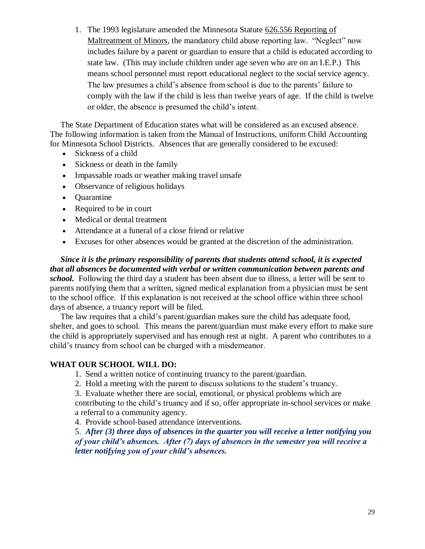1. The 1993 legislature amended the Minnesota Statute 626.556 Reporting of Maltreatment of Minors, the mandatory child abuse reporting law. "Neglect" now includes failure by a parent or guardian to ensure that a child is educated according to state law. (This may include children under age seven who are on an I.E.P.) This means school personnel must report educational neglect to the social service agency. The law presumes a child's absence from school is due to the parents' failure to comply with the law if the child is less than twelve years of age. If the child is twelve or older, the absence is presumed the child's intent.

 The State Department of Education states what will be considered as an excused absence. The following information is taken from the Manual of Instructions, uniform Child Accounting for Minnesota School Districts. Absences that are generally considered to be excused:

- Sickness of a child
- Sickness or death in the family
- Impassable roads or weather making travel unsafe
- Observance of religious holidays
- Quarantine
- Required to be in court
- Medical or dental treatment
- Attendance at a funeral of a close friend or relative
- Excuses for other absences would be granted at the discretion of the administration.

 *Since it is the primary responsibility of parents that students attend school, it is expected that all absences be documented with verbal or written communication between parents and school.* Following the third day a student has been absent due to illness, a letter will be sent to parents notifying them that a written, signed medical explanation from a physician must be sent to the school office. If this explanation is not received at the school office within three school days of absence, a truancy report will be filed.

 The law requires that a child's parent/guardian makes sure the child has adequate food, shelter, and goes to school. This means the parent/guardian must make every effort to make sure the child is appropriately supervised and has enough rest at night. A parent who contributes to a child's truancy from school can be charged with a misdemeanor.

#### **WHAT OUR SCHOOL WILL DO:**

- 1. Send a written notice of continuing truancy to the parent/guardian.
- 2. Hold a meeting with the parent to discuss solutions to the student's truancy.
- 3. Evaluate whether there are social, emotional, or physical problems which are

contributing to the child's truancy and if so, offer appropriate in-school services or make a referral to a community agency.

4. Provide school-based attendance interventions.

5. *After (3) three days of absences in the quarter you will receive a letter notifying you of your child's absences. After (7) days of absences in the semester you will receive a letter notifying you of your child's absences.*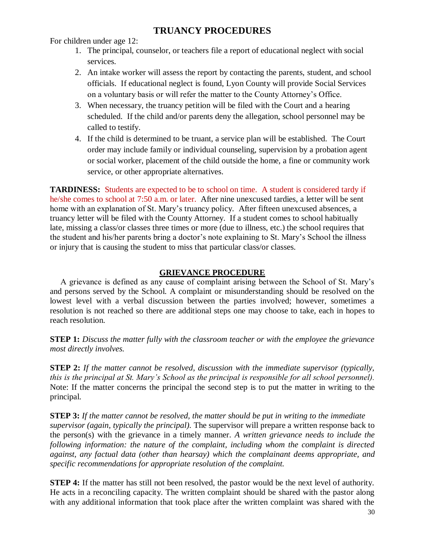#### **TRUANCY PROCEDURES**

For children under age 12:

- 1. The principal, counselor, or teachers file a report of educational neglect with social services.
- 2. An intake worker will assess the report by contacting the parents, student, and school officials. If educational neglect is found, Lyon County will provide Social Services on a voluntary basis or will refer the matter to the County Attorney's Office.
- 3. When necessary, the truancy petition will be filed with the Court and a hearing scheduled. If the child and/or parents deny the allegation, school personnel may be called to testify.
- 4. If the child is determined to be truant, a service plan will be established. The Court order may include family or individual counseling, supervision by a probation agent or social worker, placement of the child outside the home, a fine or community work service, or other appropriate alternatives.

**TARDINESS:** Students are expected to be to school on time. A student is considered tardy if he/she comes to school at 7:50 a.m. or later. After nine unexcused tardies, a letter will be sent home with an explanation of St. Mary's truancy policy. After fifteen unexcused absences, a truancy letter will be filed with the County Attorney. If a student comes to school habitually late, missing a class/or classes three times or more (due to illness, etc.) the school requires that the student and his/her parents bring a doctor's note explaining to St. Mary's School the illness or injury that is causing the student to miss that particular class/or classes.

#### **GRIEVANCE PROCEDURE**

A grievance is defined as any cause of complaint arising between the School of St. Mary's and persons served by the School. A complaint or misunderstanding should be resolved on the lowest level with a verbal discussion between the parties involved; however, sometimes a resolution is not reached so there are additional steps one may choose to take, each in hopes to reach resolution.

**STEP 1:** *Discuss the matter fully with the classroom teacher or with the employee the grievance most directly involves.*

**STEP 2:** *If the matter cannot be resolved, discussion with the immediate supervisor (typically, this is the principal at St. Mary's School as the principal is responsible for all school personnel).* Note: If the matter concerns the principal the second step is to put the matter in writing to the principal.

**STEP 3:** *If the matter cannot be resolved, the matter should be put in writing to the immediate supervisor (again, typically the principal).* The supervisor will prepare a written response back to the person(s) with the grievance in a timely manner*. A written grievance needs to include the following information: the nature of the complaint, including whom the complaint is directed against, any factual data (other than hearsay) which the complainant deems appropriate, and specific recommendations for appropriate resolution of the complaint.*

**STEP 4:** If the matter has still not been resolved, the pastor would be the next level of authority. He acts in a reconciling capacity. The written complaint should be shared with the pastor along with any additional information that took place after the written complaint was shared with the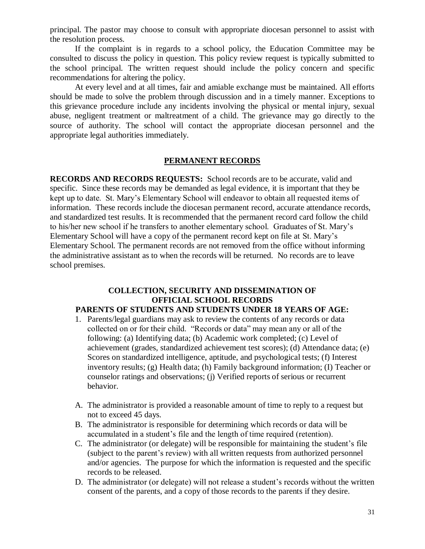principal. The pastor may choose to consult with appropriate diocesan personnel to assist with the resolution process.

If the complaint is in regards to a school policy, the Education Committee may be consulted to discuss the policy in question. This policy review request is typically submitted to the school principal. The written request should include the policy concern and specific recommendations for altering the policy.

At every level and at all times, fair and amiable exchange must be maintained. All efforts should be made to solve the problem through discussion and in a timely manner. Exceptions to this grievance procedure include any incidents involving the physical or mental injury, sexual abuse, negligent treatment or maltreatment of a child. The grievance may go directly to the source of authority. The school will contact the appropriate diocesan personnel and the appropriate legal authorities immediately.

#### **PERMANENT RECORDS**

**RECORDS AND RECORDS REQUESTS:** School records are to be accurate, valid and specific. Since these records may be demanded as legal evidence, it is important that they be kept up to date. St. Mary's Elementary School will endeavor to obtain all requested items of information. These records include the diocesan permanent record, accurate attendance records, and standardized test results. It is recommended that the permanent record card follow the child to his/her new school if he transfers to another elementary school. Graduates of St. Mary's Elementary School will have a copy of the permanent record kept on file at St. Mary's Elementary School. The permanent records are not removed from the office without informing the administrative assistant as to when the records will be returned. No records are to leave school premises.

#### **COLLECTION, SECURITY AND DISSEMINATION OF OFFICIAL SCHOOL RECORDS**

#### **PARENTS OF STUDENTS AND STUDENTS UNDER 18 YEARS OF AGE:**

- 1. Parents/legal guardians may ask to review the contents of any records or data collected on or for their child. "Records or data" may mean any or all of the following: (a) Identifying data; (b) Academic work completed; (c) Level of achievement (grades, standardized achievement test scores); (d) Attendance data; (e) Scores on standardized intelligence, aptitude, and psychological tests; (f) Interest inventory results; (g) Health data; (h) Family background information; (I) Teacher or counselor ratings and observations; (j) Verified reports of serious or recurrent behavior.
- A. The administrator is provided a reasonable amount of time to reply to a request but not to exceed 45 days.
- B. The administrator is responsible for determining which records or data will be accumulated in a student's file and the length of time required (retention).
- C. The administrator (or delegate) will be responsible for maintaining the student's file (subject to the parent's review) with all written requests from authorized personnel and/or agencies. The purpose for which the information is requested and the specific records to be released.
- D. The administrator (or delegate) will not release a student's records without the written consent of the parents, and a copy of those records to the parents if they desire.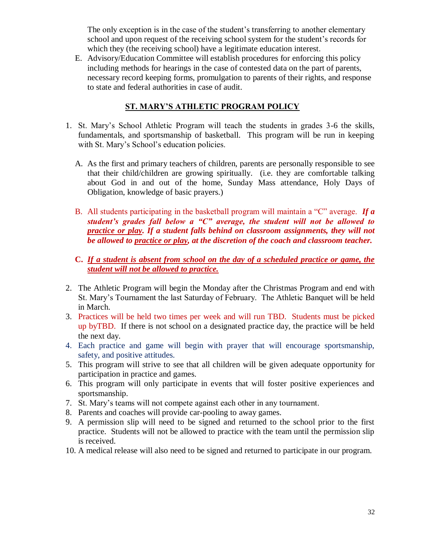The only exception is in the case of the student's transferring to another elementary school and upon request of the receiving school system for the student's records for which they (the receiving school) have a legitimate education interest.

E. Advisory/Education Committee will establish procedures for enforcing this policy including methods for hearings in the case of contested data on the part of parents, necessary record keeping forms, promulgation to parents of their rights, and response to state and federal authorities in case of audit.

#### **ST. MARY'S ATHLETIC PROGRAM POLICY**

- 1. St. Mary's School Athletic Program will teach the students in grades 3-6 the skills, fundamentals, and sportsmanship of basketball. This program will be run in keeping with St. Mary's School's education policies.
	- A. As the first and primary teachers of children, parents are personally responsible to see that their child/children are growing spiritually. (i.e. they are comfortable talking about God in and out of the home, Sunday Mass attendance, Holy Days of Obligation, knowledge of basic prayers.)
	- B. All students participating in the basketball program will maintain a "C" average. *If a student's grades fall below a "C" average, the student will not be allowed to practice or play. If a student falls behind on classroom assignments, they will not be allowed to practice or play, at the discretion of the coach and classroom teacher.*
	- **C.** *If a student is absent from school on the day of a scheduled practice or game, the student will not be allowed to practice.*
- 2. The Athletic Program will begin the Monday after the Christmas Program and end with St. Mary's Tournament the last Saturday of February. The Athletic Banquet will be held in March.
- 3. Practices will be held two times per week and will run TBD. Students must be picked up byTBD. If there is not school on a designated practice day, the practice will be held the next day.
- 4. Each practice and game will begin with prayer that will encourage sportsmanship, safety, and positive attitudes.
- 5. This program will strive to see that all children will be given adequate opportunity for participation in practice and games.
- 6. This program will only participate in events that will foster positive experiences and sportsmanship.
- 7. St. Mary's teams will not compete against each other in any tournament.
- 8. Parents and coaches will provide car-pooling to away games.
- 9. A permission slip will need to be signed and returned to the school prior to the first practice. Students will not be allowed to practice with the team until the permission slip is received.
- 10. A medical release will also need to be signed and returned to participate in our program.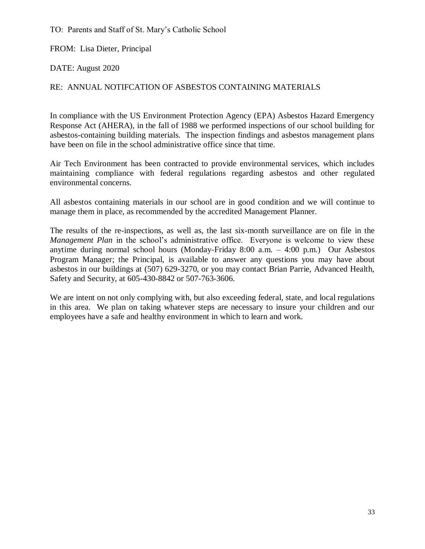TO: Parents and Staff of St. Mary's Catholic School

FROM: Lisa Dieter, Principal

DATE: August 2020

#### RE: ANNUAL NOTIFCATION OF ASBESTOS CONTAINING MATERIALS

In compliance with the US Environment Protection Agency (EPA) Asbestos Hazard Emergency Response Act (AHERA), in the fall of 1988 we performed inspections of our school building for asbestos-containing building materials. The inspection findings and asbestos management plans have been on file in the school administrative office since that time.

Air Tech Environment has been contracted to provide environmental services, which includes maintaining compliance with federal regulations regarding asbestos and other regulated environmental concerns.

All asbestos containing materials in our school are in good condition and we will continue to manage them in place, as recommended by the accredited Management Planner.

The results of the re-inspections, as well as, the last six-month surveillance are on file in the *Management Plan* in the school's administrative office. Everyone is welcome to view these anytime during normal school hours (Monday-Friday 8:00 a.m. – 4:00 p.m.) Our Asbestos Program Manager; the Principal, is available to answer any questions you may have about asbestos in our buildings at (507) 629-3270, or you may contact Brian Parrie, Advanced Health, Safety and Security, at 605-430-8842 or 507-763-3606.

We are intent on not only complying with, but also exceeding federal, state, and local regulations in this area. We plan on taking whatever steps are necessary to insure your children and our employees have a safe and healthy environment in which to learn and work.